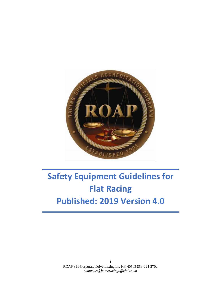

# **Safety Equipment Guidelines for Flat Racing Published: 2019 Version 4.0**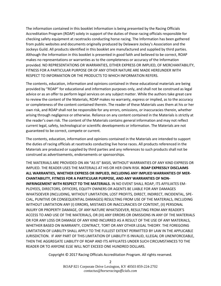The information contained in this booklet Information is being presented by the Racing Officials Accreditation Program (ROAP) solely in support of the duties of those racing officials responsible for checking safety equipment at racetracks conducting horse racing. The Information has been gathered from public websites and documents originally produced by Delaware Jockey's Association and the Jockeys Guild. All products identified in this booklet are manufactured and supplied by third parties. Although the Information in this booklet is presented in good faith and believed to be correct, ROAP makes no representations or warranties as to the completeness or accuracy of the Information provided. NO REPRESENTATIONS OR WARRANTIES, EITHER EXPRESS OR IMPLIED, OF MERCHANTABILITY, FITNESS FOR A PARTICULAR PURPOSE OR OF ANY OTHER NATURE ARE MADE HEREUNDER WITH RESPECT TO INFORMATION OR THE PRODUCTS TO WHICH INFORMATION REFERS.

The contents, education, information and opinions contained in these educational materials are being provided by "ROAP" for educational and information purposes only, and shall not be construed as legal advice or as an offer to perform legal services on any subject matter. While the authors take great care to review the content of the Materials, ROAP makes no warranty, express or implied, as to the accuracy or completeness of the content contained therein. The reader of these Materials uses them at his or her own risk, and ROAP shall not be responsible for any errors, omissions, or inaccuracies therein, whether arising through negligence or otherwise. Reliance on any content contained in the Materials is strictly at the reader's own risk. The content of the Materials contains general information and may not reflect current legal, safety, technological or scientific developments or information. The Materials are not guaranteed to be correct, compete or current.

The contents, education, information and opinions contained in the Materials are intended to support the duties of racing officials at racetracks conducting live horse races. All products referenced in the Materials are produced or supplied by third parties and any references to such products shall not be construed as advertisements, endorsements or sponsorships.

THE MATERIALS ARE PROVIDED ON AN "AS IS" BASIS, WITHOUT WARRANTIES OF ANY KIND EXPRESS OR IMPLIED. THE READER USES THE MATERIALS AT HIS OR HER OWN RISK. **ROAP EXPRESSLY DISCLAIMS ALL WARRANTIES, WHETHER EXPRESS OR IMPLIED, INCLUDING ANY IMPLIED WARRANTIES OF MER-CHANTABILITY, FITNESS FOR A PARTICULAR PURPOSE, AND ANY WARRANTIES OF NON-INFRINGEMENT WITH RESPECT TO THE MATERIALS.** IN NO EVENT SHALL ROAP, ITS AFFILIATES EM-PLOYEES, DIRECTORS, OFFICERS, EQUITY OWNERS OR AGENTS BE LIABLE FOR ANY DAMAGES WHATSOEVER (INCLUDING, WITHOUT LIMITATION, LOST PROFITS, DIRECT, INDIRECT, INCIDENTAL, SPE-CIAL, PUNITIVE OR CONSEQUENTIAL DAMAGES) RESULTING FROM USE OF THE MATERIALS, INCLUDING WITHOUT LIMITATION ANY (I) ERRORS, MISTAKES OR INACCURACIES OF CONTENT, (II) PERSONAL INJURY OR PROPERTY DAMAGE, OF ANY NATURE WHATSOEVER, RESULTING FROM ANY READER'S ACCESS TO AND USE OF THE MATERIALS, OR (III) ANY ERRORS OR OMISSIONS IN ANY OF THE MATERIALS OR FOR ANY LOSS OR DAMAGE OF ANY KIND INCURRED AS A RESULT OF THE USE OF ANY MATERIALS, WHETHER BASED ON WARRANTY, CONTRACT, TORT OR ANY OTHER LEGAL THEORY. THE FOREGOING LIMITATION OF LIABILITY SHALL APPLY TO THE FULLEST EXTENT PERMITTED BY LAW IN THE APPLICABLE JURISDICTION. IF ANY PART OF THIS LIMITATION OF LIABILITY IS INVALID, ILLEGAL OR UNENFORCEABLE, THEN THE AGGREGATE LIABILITY OF ROAP AND ITS AFFILIATES UNDER SUCH CIRCUMSTANCES TO THE READER OR TO ANYONE ELSE WILL NOT EXCEED ONE HUNDRED DOLLARS.

Copyright © 2017 Racing Officials Accreditation Program. All rights reserved.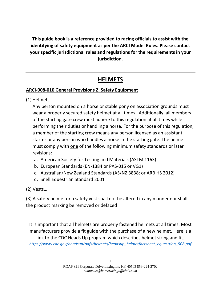**This guide book is a reference provided to racing officials to assist with the identifying of safety equipment as per the ARCI Model Rules. Please contact your specific jurisdictional rules and regulations for the requirements in your jurisdiction.**

# **HELMETS**

## **ARCI-008-010 General Provisions Z. Safety Equipment**

(1) Helmets

Any person mounted on a horse or stable pony on association grounds must wear a properly secured safety helmet at all times. Additionally, all members of the starting gate crew must adhere to this regulation at all times while performing their duties or handling a horse. For the purpose of this regulation, a member of the starting crew means any person licensed as an assistant starter or any person who handles a horse in the starting gate. The helmet must comply with one of the following minimum safety standards or later revisions:

- a. American Society for Testing and Materials (ASTM 1163)
- b. European Standards (EN-1384 or PAS-015 or VG1)
- c. Australian/New Zealand Standards (AS/NZ 3838; or ARB HS 2012)
- d. Snell Equestrian Standard 2001

(2) Vests…

(3) A safety helmet or a safety vest shall not be altered in any manner nor shall the product marking be removed or defaced

It is important that all helmets are properly fastened helmets at all times. Most manufacturers provide a fit guide with the purchase of a new helmet. Here is a link to the CDC Heads Up program which describes helmet sizing and fit. *[https://www.cdc.gov/headsup/pdfs/helmets/headsup\\_helmetfactsheet\\_equestrian\\_508.pdf](https://www.cdc.gov/headsup/pdfs/helmets/headsup_helmetfactsheet_equestrian_508.pdf)*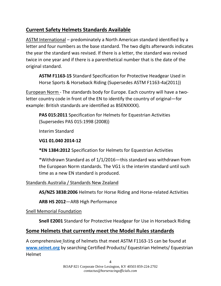## **Current Safety Helmets Standards Available**

ASTM International – predominately a North American standard identified by a letter and four numbers as the base standard. The two digits afterwards indicates the year the standard was revised. If there is a letter, the standard was revised twice in one year and if there is a parenthetical number that is the date of the original standard.

**ASTM F1163-15** Standard Specification for Protective Headgear Used in Horse Sports & Horseback Riding (Supersedes ASTM F1163-4a(2011))

European Norm - The standards body for Europe. Each country will have a twoletter country code in front of the EN to identify the country of original—for example: British standards are identified as BSENXXXX).

**PAS 015:2011** Specification for Helmets for Equestrian Activities (Supersedes PAS 015:1998 (2008))

Interim Standard

## **VG1 01.040 2014-12**

**\*EN 1384:2012** Specification for Helmets for Equestrian Activities

\*Withdrawn Standard as of 1/1/2016—this standard was withdrawn from the European Norm standards. The VG1 is the interim standard until such time as a new EN standard is produced.

## Standards Australia / Standards New Zealand

**AS/NZS 3838:2006** Helmets for Horse Riding and Horse-related Activities

**ARB HS 2012**—ARB High Performance

## Snell Memorial Foundation

**Snell E2001** Standard for Protective Headgear for Use in Horseback Riding

## **Some Helmets that currently meet the Model Rules standards**

A comprehensive listing of helmets that meet ASTM F1163-15 can be found at **[www.seinet.org](http://www.seinet.org/)** by searching Certified Products/ Equestrian Helmets/ Equestrian Helmet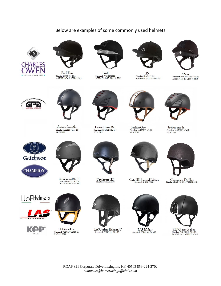## Below are examples of some commonly used helmets





 $Pro II Plus$ Standard: PAS 015 2011<br>ASTM F1163-15; VG01 01 2012



 $P_{ro}$ Standard: PAS 015 2011<br>ASTM F1163-15; VG01 01 2012



 $\underset{\text{ASTM F1163-15; VG0101 2012}}{\text{Standard: PAS 015 2011}}$ 



 $\underset{\text{ASTM F1163-15; VG0101} }{4\text{ Star}} \text{SNELL}; \\ \text{ASTM F1163-15; VG01 01 2012}$ 



Jockup three 2x Standard: ASTM-F1163-15;<br>VG 01 2012



 ${\rm Jockup\,three\,4S}\atop{\rm Standard:\,ASTM-F1163-15};$ VG 01 2012



Jockup One<br>Standard: ASTM-F1163-15;<br>VG 01 2012



 $\begin{array}{c} \text{Jockup one 4s} \\ \text{Standard ASTM-F1163-15;} \\ \text{VG 01 2012} \end{array}$ 



**CHAMPION** 



Gatehouse RXC1<br>Standard: SNELL E2001;<br>PAS 015 2011; VG 01 2012



Gatehouse HS1<br>Standard: SNELL E2001



Gate HS1 Special Edition<br>Standard: SNELL E2001;



 $\begin{array}{c} \textbf{Champion ProPlus} \\ \textbf{Standard: PAS 015 2011; V601 01 2012} \end{array}$ 









 $\operatorname{Uof} \begin{matrix} \text{Kace} \text{Evo} \\ \text{Standard: VG1 01.040. 2014-12}; \\ \text{PAS 015: 2011} \end{matrix}$ 



LAS Jockey Helmet JC<br>Standard: VG1 01.040 2014-12



LAS JC Star Standard: VG1 01.040 2014-12



KEP Cromo Jockey PAS 015: 2011; ASTM F1163-15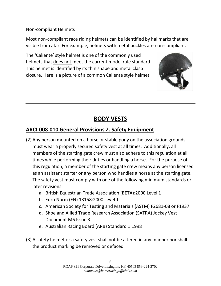#### Non-compliant Helmets

Most non-compliant race riding helmets can be identified by hallmarks that are visible from afar. For example, helmets with metal buckles are non-compliant.

The 'Caliente' style helmet is one of the commonly used helmets that does not meet the current model rule standard. This helmet is identified by its thin shape and metal clasp closure. Here is a picture of a common Caliente style helmet.



# **BODY VESTS**

## **ARCI-008-010 General Provisions Z. Safety Equipment**

- (2) Any person mounted on a horse or stable pony on the association grounds must wear a properly secured safety vest at all times. Additionally, all members of the starting gate crew must also adhere to this regulation at all times while performing their duties or handling a horse. For the purpose of this regulation, a member of the starting gate crew means any person licensed as an assistant starter or any person who handles a horse at the starting gate. The safety vest must comply with one of the following minimum standards or later revisions:
	- a. British Equestrian Trade Association (BETA):2000 Level 1
	- b. Euro Norm (EN) 13158:2000 Level 1
	- c. American Society for Testing and Materials (ASTM) F2681-08 or F1937.
	- d. Shoe and Allied Trade Research Association (SATRA) Jockey Vest Document M6 Issue 3
	- e. Australian Racing Board (ARB) Standard 1.1998
- (3) A safety helmet or a safety vest shall not be altered in any manner nor shall the product marking be removed or defaced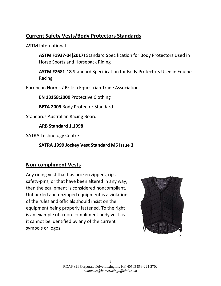## **Current Safety Vests/Body Protectors Standards**

## ASTM International

**ASTM F1937-04(2017)** Standard Specification for Body Protectors Used in Horse Sports and Horseback Riding

**ASTM F2681-18** Standard Specification for Body Protectors Used in Equine Racing

European Norms / British Equestrian Trade Association

**EN 13158:2009** Protective Clothing

**BETA 2009** Body Protector Standard

Standards Australian Racing Board

**ARB Standard 1.1998** 

SATRA Technology Centre

**SATRA 1999 Jockey Vest Standard M6 Issue 3** 

## **Non-compliment Vests**

Any riding vest that has broken zippers, rips, safety-pins, or that have been altered in any way, then the equipment is considered noncompliant. Unbuckled and unzipped equipment is a violation of the rules and officials should insist on the equipment being properly fastened. To the right is an example of a non-compliment body vest as it cannot be identified by any of the current symbols or logos.

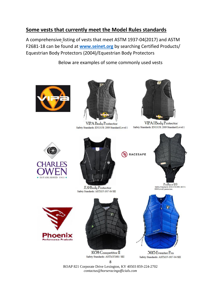## **Some vests that currently meet the Model Rules standards**

A comprehensive listing of vests that meet ASTM 1937-04(2017) and ASTM F2681-18 can be found at **[www.seinet.org](http://www.seinet.org/)** by searching Certified Products/ Equestrian Body Protectors (2004)/Equestrian Body Protectors

Below are examples of some commonly used vests





**VIPA** Body Protector Safety Standards: EN13158: 2009 Standard Level 1



VIPA I Body Protector Safety Standards: EN13158: 2009 Standard Level 1





JL9 Body Protector Safety Standards: ASTM F-1937-04/SEI

 $\widehat{\mathbf{R}}$  RACESAFE



 $\begin{matrix}\mathrm{ProRace}\,2.0\\ \mathrm{Safety}\, \mathrm{Standards: EN13158:2009; BETA}\ 2009\,\mathrm{Level}\,2\,\mathrm{protection}\end{matrix}$ 





1038 Competitor II Safety Standards: ASTM F2681/ SEI

![](_page_7_Picture_17.jpeg)

3015 Eventer Pro Safety Standards: ASTM F-1937-04/SEI

8 ROAP 821 Corporate Drive Lexington, KY 40503 859-224-2702 *contactus@horseracingofficials.com*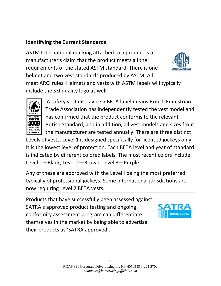# **Identifying the Current Standards**

ASTM International marking attached to a product is a manufacturer's claim that the product meets all the requirements of the stated ASTM standard. There is one helmet and two vest standards produced by ASTM. All meet ARCI rules. Helmets and vests with ASTM labels will typically include the SEI quality logo as well.

![](_page_8_Picture_2.jpeg)

![](_page_8_Picture_3.jpeg)

A safety vest displaying a BETA label means British Equestrian Trade Association has independently tested the vest model and has confirmed that the product conforms to the relevant British Standard, and in addition, all vest models and sizes from the manufacturer are tested annually. There are three distinct

Levels of vests. Level 1 is designed specifically for licensed jockeys only. It is the lowest level of protection. Each BETA level and year of standard is indicated by different colored labels. The most recent colors include: Level 1—Black, Level 2—Brown, Level 3—Purple

Any of these are approved with the Level I being the most preferred typically of professional jockeys. Some international jurisdictions are now requiring Level 2 BETA vests.

Products that have successfully been assessed against SATRA's approved product testing and ongoing conformity assessment program can differentiate themselves in the market by being able to advertise their products as 'SATRA approved'.

![](_page_8_Picture_8.jpeg)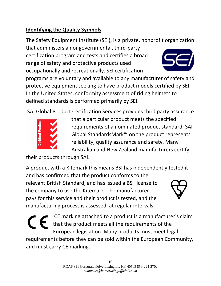# **Identifying the Quality Symbols**

The Safety Equipment Institute (SEI), is a private, nonprofit organization

that administers a nongovernmental, third-party certification program and tests and certifies a broad range of safety and protective products used occupationally and recreationally. SEI certification

programs are voluntary and available to any manufacturer of safety and protective equipment seeking to have product models certified by SEI. In the United States, conformity assessment of riding helmets to defined standards is performed primarily by SEI.

SAI Global Product Certification Services provides third party assurance

![](_page_9_Figure_5.jpeg)

that a particular product meets the specified requirements of a nominated product standard. SAI Global StandardsMark™ on the product represents reliability, quality assurance and safety. Many Australian and New Zealand manufacturers certify

their products through SAI.

A product with a Kitemark this means BSI has independently tested it and has confirmed that the product conforms to the relevant British Standard, and has issued a BSI license to the company to use the Kitemark. The manufacturer pays for this service and their product is tested, and the manufacturing process is assessed, at regular intervals.

CE marking attached to a product is a manufacturer's claim that the product meets all the requirements of the European legislation. Many products must meet legal requirements before they can be sold within the European Community, and must carry CE marking.

![](_page_9_Picture_11.jpeg)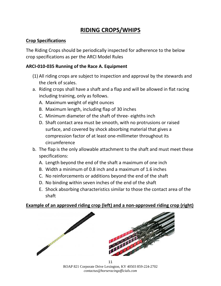# **RIDING CROPS/WHIPS**

#### **Crop Specifications**

The Riding Crops should be periodically inspected for adherence to the below crop specifications as per the ARCI Model Rules

### **ARCI-010-035 Running of the Race A. Equipment**

- (1) All riding crops are subject to inspection and approval by the stewards and the clerk of scales.
- a. Riding crops shall have a shaft and a flap and will be allowed in flat racing including training, only as follows.
	- A. Maximum weight of eight ounces
	- B. Maximum length, including flap of 30 inches
	- C. Minimum diameter of the shaft of three- eighths inch
	- D. Shaft contact area must be smooth, with no protrusions or raised surface, and covered by shock absorbing material that gives a compression factor of at least one-millimeter throughout its circumference
- b. The flap is the only allowable attachment to the shaft and must meet these specifications:
	- A. Length beyond the end of the shaft a maximum of one inch
	- B. Width a minimum of 0.8 inch and a maximum of 1.6 inches
	- C. No reinforcements or additions beyond the end of the shaft
	- D. No binding within seven inches of the end of the shaft
	- E. Shock absorbing characteristics similar to those the contact area of the shaft

#### **Example of an approved riding crop (left) and a non-approved riding crop (right)**

![](_page_10_Picture_17.jpeg)

11 ROAP 821 Corporate Drive Lexington, KY 40503 859-224-2702 *contactus@horseracingofficials.com*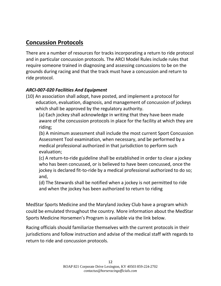# **Concussion Protocols**

There are a number of resources for tracks incorporating a return to ride protocol and in particular concussion protocols. The ARCI Model Rules include rules that require someone trained in diagnosing and assessing concussions to be on the grounds during racing and that the track must have a concussion and return to ride protocol.

## *ARCI-007-020 Facilities And Equipment*

(10) An association shall adopt, have posted, and implement a protocol for education, evaluation, diagnosis, and management of concussion of jockeys which shall be approved by the regulatory authority.

(a) Each jockey shall acknowledge in writing that they have been made aware of the concussion protocols in place for the facility at which they are riding;

(b) A minimum assessment shall include the most current Sport Concussion Assessment Tool examination, when necessary, and be performed by a medical professional authorized in that jurisdiction to perform such evaluation;

(c) A return-to-ride guideline shall be established in order to clear a jockey who has been concussed, or is believed to have been concussed, once the jockey is declared fit-to-ride by a medical professional authorized to do so; and,

(d) The Stewards shall be notified when a jockey is not permitted to ride and when the jockey has been authorized to return to riding

MedStar Sports Medicine and the Maryland Jockey Club have a program which could be emulated throughout the country. More information about the MedStar Sports Medicine Horsemen's Program is available via the link below.

Racing officials should familiarize themselves with the current protocols in their jurisdictions and follow instruction and advise of the medical staff with regards to return to ride and concussion protocols.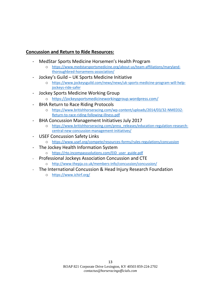#### **Concussion and Return to Ride Resources:**

- MedStar Sports Medicine Horsemen's Health Program
	- o [https://www.medstarsportsmedicine.org/about-us/team-affiliations/maryland](https://www.medstarsportsmedicine.org/about-us/team-affiliations/maryland-thoroughbred-horsemens-association/)[thoroughbred-horsemens-association/](https://www.medstarsportsmedicine.org/about-us/team-affiliations/maryland-thoroughbred-horsemens-association/)
- Jockey's Guild UK Sports Medicine Initiative
	- o [https://www.jockeysguild.com/news/news/uk-sports-medicine-program-will-help](https://www.jockeysguild.com/news/news/uk-sports-medicine-program-will-help-jockeys-ride-safer)[jockeys-ride-safer](https://www.jockeysguild.com/news/news/uk-sports-medicine-program-will-help-jockeys-ride-safer)
- Jockey Sports Medicine Working Group
	- o <https://jockeysportsmedicineworkinggroup.wordpress.com/>
- BHA Return to Race Riding Protocols
	- o [https://www.britishhorseracing.com/wp-content/uploads/2014/03/32-NMED32-](https://www.britishhorseracing.com/wp-content/uploads/2014/03/32-NMED32-Return-to-race-riding-following-illness.pdf) [Return-to-race-riding-following-illness.pdf](https://www.britishhorseracing.com/wp-content/uploads/2014/03/32-NMED32-Return-to-race-riding-following-illness.pdf)
- BHA Concussion Management Initiatives July 2017
	- o [https://www.britishhorseracing.com/press\\_releases/education-regulation-research](https://www.britishhorseracing.com/press_releases/education-regulation-research-central-new-concussion-management-initiatives/)[central-new-concussion-management-initiatives/](https://www.britishhorseracing.com/press_releases/education-regulation-research-central-new-concussion-management-initiatives/)
- USEF Concussion Safety Links
	- o <https://www.usef.org/compete/resources-forms/rules-regulations/concussion>
- The Jockey Health Information System
	- o [https://rto.incompasssolutions.com/EID\\_user\\_guide.pdf](https://rto.incompasssolutions.com/EID_user_guide.pdf)
- Professional Jockeys Association Concussion and CTE
	- o <http://www.thepja.co.uk/members-info/concussion/concussion/>
- The International Concussion & Head Injury Research Foundation
	- o <https://www.ichirf.org/>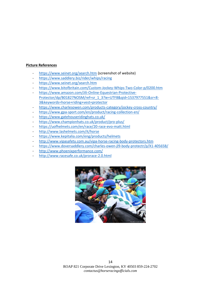#### **Picture References**

- <https://www.seinet.org/search.htm> (screenshot of website)
- <https://www.saddlery.biz/rider/whips/racing>
- <https://www.seinet.org/search.htm>
- <https://www.bitofbritain.com/Custom-Jockey-Whips-Two-Color-p/0200.htm>
- [https://www.amazon.com/Jili-Online-Equestrian-Protective-](https://www.amazon.com/Jili-Online-Equestrian-Protective-Protector/dp/B01827NOSM/ref=sr_1_3?ie=UTF8&qid=1537977551&sr=8-3&keywords=horse+riding+vest+protector)[Protector/dp/B01827NOSM/ref=sr\\_1\\_3?ie=UTF8&qid=1537977551&sr=8-](https://www.amazon.com/Jili-Online-Equestrian-Protective-Protector/dp/B01827NOSM/ref=sr_1_3?ie=UTF8&qid=1537977551&sr=8-3&keywords=horse+riding+vest+protector) [3&keywords=horse+riding+vest+protector](https://www.amazon.com/Jili-Online-Equestrian-Protective-Protector/dp/B01827NOSM/ref=sr_1_3?ie=UTF8&qid=1537977551&sr=8-3&keywords=horse+riding+vest+protector)
- <https://www.charlesowen.com/products-category/jockey-cross-country/>
- <https://www.gpa-sport.com/en/product/racing-collection-en/>
- <https://www.gatehouseridinghats.co.uk/>
- https://www.championhats.co.uk/product/pro-plus/
- <https://uofhelmets.com/en/race/20-race-evo-matt.html>
- <http://www.lashelmets.com/it/horse>
- <https://www.kepitalia.com/eng/products/helmets>
- <http://www.vipasafety.com.au/vipa-horse-racing-body-protectors.htm>
- <https://www.doversaddlery.com/charles-owen-jl9-body-protectr/p/X1-40565B/>
- <http://www.phoenixperformance.com/>
- <http://www.racesafe.co.uk/prorace-2.0.html>

![](_page_13_Picture_17.jpeg)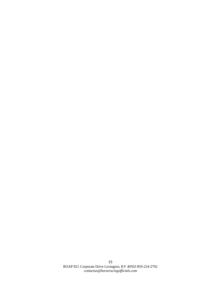15 ROAP 821 Corporate Drive Lexington, KY 40503 859-224-2702 *contactus@horseracingofficials.com*